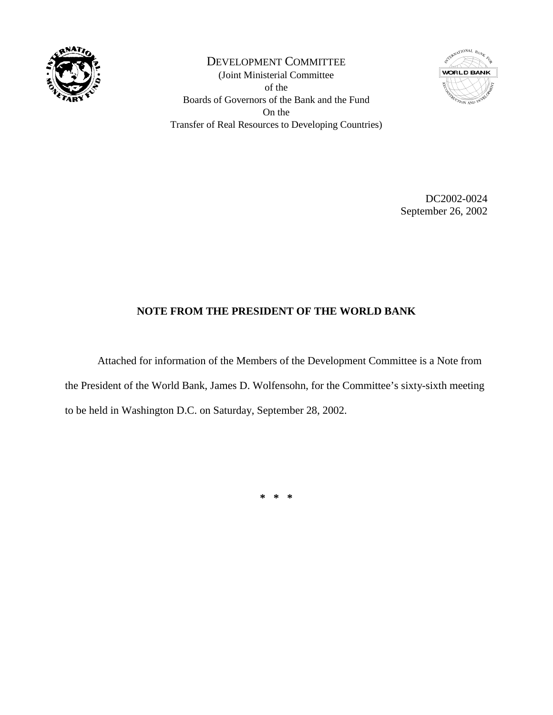

DEVELOPMENT COMMITTEE (Joint Ministerial Committee of the Boards of Governors of the Bank and the Fund On the Transfer of Real Resources to Developing Countries)



DC2002-0024 September 26, 2002

## **NOTE FROM THE PRESIDENT OF THE WORLD BANK**

Attached for information of the Members of the Development Committee is a Note from the President of the World Bank, James D. Wolfensohn, for the Committee's sixty-sixth meeting to be held in Washington D.C. on Saturday, September 28, 2002.

**\* \* \***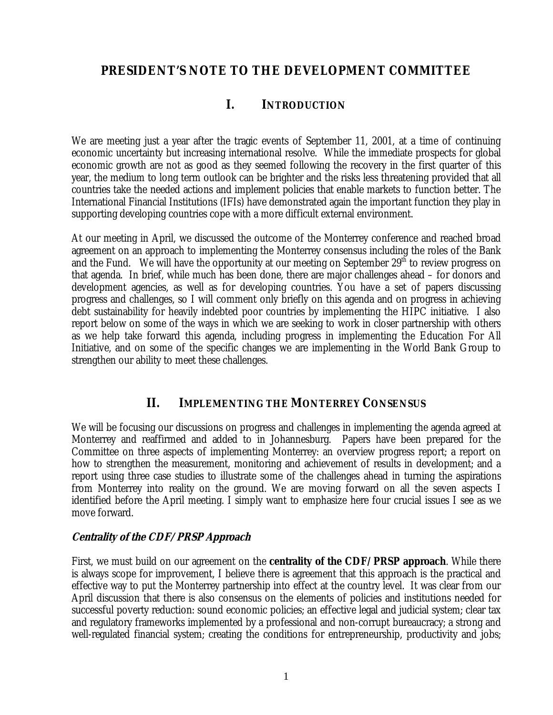# **PRESIDENT'S NOTE TO THE DEVELOPMENT COMMITTEE**

# **I. INTRODUCTION**

We are meeting just a year after the tragic events of September 11, 2001, at a time of continuing economic uncertainty but increasing international resolve. While the immediate prospects for global economic growth are not as good as they seemed following the recovery in the first quarter of this year, the medium to long term outlook can be brighter and the risks less threatening provided that all countries take the needed actions and implement policies that enable markets to function better. The International Financial Institutions (IFIs) have demonstrated again the important function they play in supporting developing countries cope with a more difficult external environment.

At our meeting in April, we discussed the outcome of the Monterrey conference and reached broad agreement on an approach to implementing the Monterrey consensus including the roles of the Bank and the Fund. We will have the opportunity at our meeting on September  $29<sup>th</sup>$  to review progress on that agenda. In brief, while much has been done, there are major challenges ahead – for donors and development agencies, as well as for developing countries. You have a set of papers discussing progress and challenges, so I will comment only briefly on this agenda and on progress in achieving debt sustainability for heavily indebted poor countries by implementing the HIPC initiative. I also report below on some of the ways in which we are seeking to work in closer partnership with others as we help take forward this agenda, including progress in implementing the Education For All Initiative, and on some of the specific changes we are implementing in the World Bank Group to strengthen our ability to meet these challenges.

## **II. IMPLEMENTING THE MONTERREY CONSENSUS**

We will be focusing our discussions on progress and challenges in implementing the agenda agreed at Monterrey and reaffirmed and added to in Johannesburg. Papers have been prepared for the Committee on three aspects of implementing Monterrey: an overview progress report; a report on how to strengthen the measurement, monitoring and achievement of results in development; and a report using three case studies to illustrate some of the challenges ahead in turning the aspirations from Monterrey into reality on the ground. We are moving forward on all the seven aspects I identified before the April meeting. I simply want to emphasize here four crucial issues I see as we move forward.

#### **Centrality of the CDF/PRSP Approach**

First, we must build on our agreement on the **centrality of the CDF/PRSP approach**. While there is always scope for improvement, I believe there is agreement that this approach is the practical and effective way to put the Monterrey partnership into effect at the country level.It was clear from our April discussion that there is also consensus on the elements of policies and institutions needed for successful poverty reduction: sound economic policies; an effective legal and judicial system; clear tax and regulatory frameworks implemented by a professional and non-corrupt bureaucracy; a strong and well-regulated financial system; creating the conditions for entrepreneurship, productivity and jobs;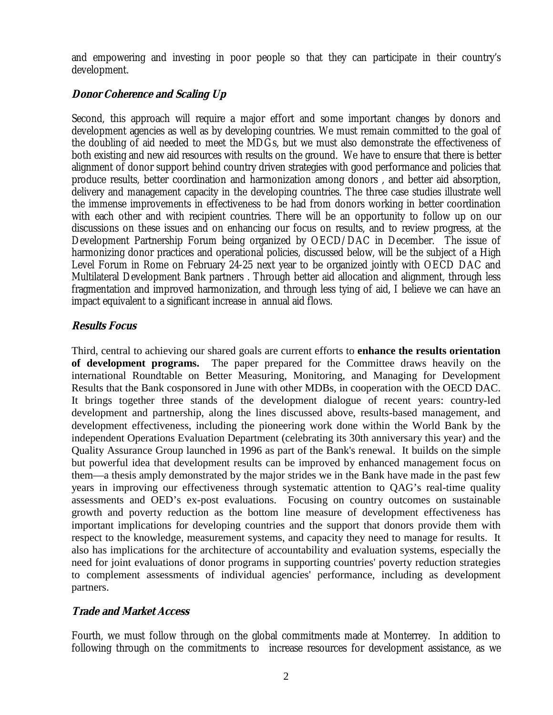and empowering and investing in poor people so that they can participate in their country's development.

## **Donor Coherence and Scaling Up**

Second, this approach will require a major effort and some important changes by donors and development agencies as well as by developing countries. We must remain committed to the goal of the doubling of aid needed to meet the MDGs, but we must also demonstrate the effectiveness of both existing and new aid resources with results on the ground. We have to ensure that there is better alignment of donor support behind country driven strategies with good performance and policies that produce results, better coordination and harmonization among donors , and better aid absorption, delivery and management capacity in the developing countries. The three case studies illustrate well the immense improvements in effectiveness to be had from donors working in better coordination with each other and with recipient countries. There will be an opportunity to follow up on our discussions on these issues and on enhancing our focus on results, and to review progress, at the Development Partnership Forum being organized by OECD/DAC in December. The issue of harmonizing donor practices and operational policies, discussed below, will be the subject of a High Level Forum in Rome on February 24-25 next year to be organized jointly with OECD DAC and Multilateral Development Bank partners . Through better aid allocation and alignment, through less fragmentation and improved harmonization, and through less tying of aid, I believe we can have an impact equivalent to a significant increase in annual aid flows.

## **Results Focus**

Third, central to achieving our shared goals are current efforts to **enhance the results orientation of development programs.** The paper prepared for the Committee draws heavily on the international Roundtable on Better Measuring, Monitoring, and Managing for Development Results that the Bank cosponsored in June with other MDBs, in cooperation with the OECD DAC. It brings together three stands of the development dialogue of recent years: country-led development and partnership, along the lines discussed above, results-based management, and development effectiveness, including the pioneering work done within the World Bank by the independent Operations Evaluation Department (celebrating its 30th anniversary this year) and the Quality Assurance Group launched in 1996 as part of the Bank's renewal. It builds on the simple but powerful idea that development results can be improved by enhanced management focus on them—a thesis amply demonstrated by the major strides we in the Bank have made in the past few years in improving our effectiveness through systematic attention to QAG's real-time quality assessments and OED's ex-post evaluations. Focusing on country outcomes on sustainable growth and poverty reduction as the bottom line measure of development effectiveness has important implications for developing countries and the support that donors provide them with respect to the knowledge, measurement systems, and capacity they need to manage for results. It also has implications for the architecture of accountability and evaluation systems, especially the need for joint evaluations of donor programs in supporting countries' poverty reduction strategies to complement assessments of individual agencies' performance, including as development partners.

### **Trade and Market Access**

Fourth, we must follow through on the global commitments made at Monterrey. In addition to following through on the commitments to increase resources for development assistance, as we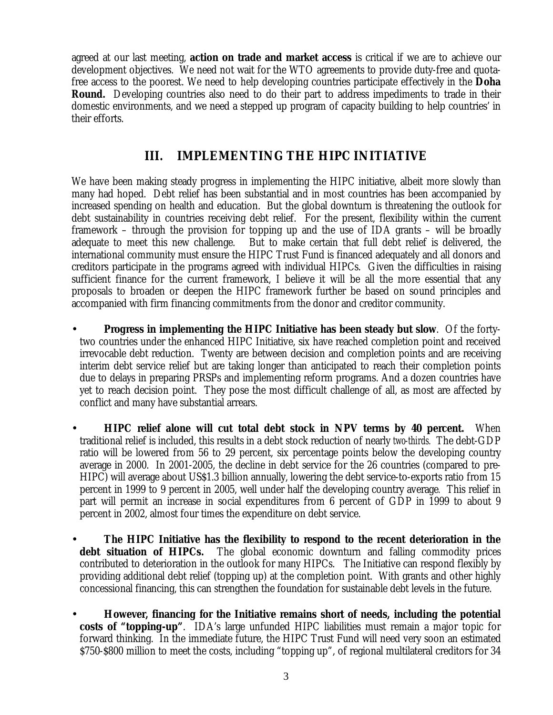agreed at our last meeting, **action on trade and market access** is critical if we are to achieve our development objectives. We need not wait for the WTO agreements to provide duty-free and quotafree access to the poorest. We need to help developing countries participate effectively in the **Doha Round.** Developing countries also need to do their part to address impediments to trade in their domestic environments, and we need a stepped up program of capacity building to help countries' in their efforts.

# **III. IMPLEMENTING THE HIPC INITIATIVE**

We have been making steady progress in implementing the HIPC initiative, albeit more slowly than many had hoped. Debt relief has been substantial and in most countries has been accompanied by increased spending on health and education. But the global downturn is threatening the outlook for debt sustainability in countries receiving debt relief. For the present, flexibility within the current framework – through the provision for topping up and the use of IDA grants – will be broadly adequate to meet this new challenge. But to make certain that full debt relief is delivered, the international community must ensure the HIPC Trust Fund is financed adequately and all donors and creditors participate in the programs agreed with individual HIPCs. Given the difficulties in raising sufficient finance for the current framework, I believe it will be all the more essential that any proposals to broaden or deepen the HIPC framework further be based on sound principles and accompanied with firm financing commitments from the donor and creditor community.

- **Progress in implementing the HIPC Initiative has been steady but slow**. Of the fortytwo countries under the enhanced HIPC Initiative, six have reached completion point and received irrevocable debt reduction. Twenty are between decision and completion points and are receiving interim debt service relief but are taking longer than anticipated to reach their completion points due to delays in preparing PRSPs and implementing reform programs. And a dozen countries have yet to reach decision point. They pose the most difficult challenge of all, as most are affected by conflict and many have substantial arrears.
- **HIPC relief alone will cut total debt stock in NPV terms by 40 percent.** When traditional relief is included, this results in a debt stock reduction of nearly *two-thirds.* The debt-GDP ratio will be lowered from 56 to 29 percent, six percentage points below the developing country average in 2000. In 2001-2005, the decline in debt service for the 26 countries (compared to pre-HIPC) will average about US\$1.3 billion annually, lowering the debt service-to-exports ratio from 15 percent in 1999 to 9 percent in 2005, well under half the developing country average*.* This relief in part will permit an increase in social expenditures from 6 percent of GDP in 1999 to about 9 percent in 2002, almost four times the expenditure on debt service.
- **The HIPC Initiative has the flexibility to respond to the recent deterioration in the debt situation of HIPCs.** The global economic downturn and falling commodity prices contributed to deterioration in the outlook for many HIPCs. The Initiative can respond flexibly by providing additional debt relief (topping up) at the completion point. With grants and other highly concessional financing, this can strengthen the foundation for sustainable debt levels in the future.
- **However, financing for the Initiative remains short of needs, including the potential costs of "topping-up"**. IDA's large unfunded HIPC liabilities must remain a major topic for forward thinking. In the immediate future, the HIPC Trust Fund will need very soon an estimated \$750-\$800 million to meet the costs, including "topping up", of regional multilateral creditors for 34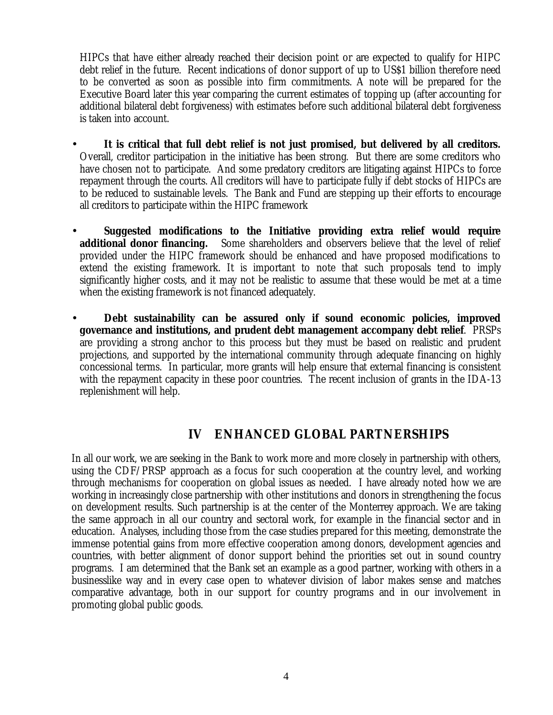HIPCs that have either already reached their decision point or are expected to qualify for HIPC debt relief in the future. Recent indications of donor support of up to US\$1 billion therefore need to be converted as soon as possible into firm commitments. A note will be prepared for the Executive Board later this year comparing the current estimates of topping up (after accounting for additional bilateral debt forgiveness) with estimates before such additional bilateral debt forgiveness is taken into account.

- **It is critical that full debt relief is not just promised, but delivered by all creditors.**  Overall, creditor participation in the initiative has been strong. But there are some creditors who have chosen not to participate. And some predatory creditors are litigating against HIPCs to force repayment through the courts. All creditors will have to participate fully if debt stocks of HIPCs are to be reduced to sustainable levels. The Bank and Fund are stepping up their efforts to encourage all creditors to participate within the HIPC framework
- **Suggested modifications to the Initiative providing extra relief would require additional donor financing.** Some shareholders and observers believe that the level of relief provided under the HIPC framework should be enhanced and have proposed modifications to extend the existing framework. It is important to note that such proposals tend to imply significantly higher costs, and it may not be realistic to assume that these would be met at a time when the existing framework is not financed adequately.
- **Debt sustainability can be assured only if sound economic policies, improved governance and institutions, and prudent debt management accompany debt relief**. PRSPs are providing a strong anchor to this process but they must be based on realistic and prudent projections, and supported by the international community through adequate financing on highly concessional terms. In particular, more grants will help ensure that external financing is consistent with the repayment capacity in these poor countries. The recent inclusion of grants in the IDA-13 replenishment will help.

# **IV ENHANCED GLOBAL PARTNERSHIPS**

In all our work, we are seeking in the Bank to work more and more closely in partnership with others, using the CDF/PRSP approach as a focus for such cooperation at the country level, and working through mechanisms for cooperation on global issues as needed. I have already noted how we are working in increasingly close partnership with other institutions and donors in strengthening the focus on development results. Such partnership is at the center of the Monterrey approach. We are taking the same approach in all our country and sectoral work, for example in the financial sector and in education. Analyses, including those from the case studies prepared for this meeting, demonstrate the immense potential gains from more effective cooperation among donors, development agencies and countries, with better alignment of donor support behind the priorities set out in sound country programs. I am determined that the Bank set an example as a good partner, working with others in a businesslike way and in every case open to whatever division of labor makes sense and matches comparative advantage, both in our support for country programs and in our involvement in promoting global public goods.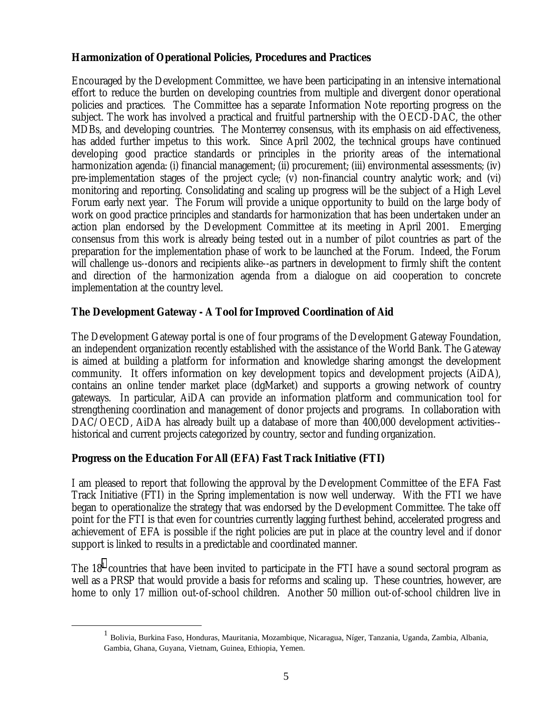### **Harmonization of Operational Policies, Procedures and Practices**

Encouraged by the Development Committee, we have been participating in an intensive international effort to reduce the burden on developing countries from multiple and divergent donor operational policies and practices. The Committee has a separate Information Note reporting progress on the subject. The work has involved a practical and fruitful partnership with the OECD-DAC, the other MDBs, and developing countries. The Monterrey consensus, with its emphasis on aid effectiveness, has added further impetus to this work. Since April 2002, the technical groups have continued developing good practice standards or principles in the priority areas of the international harmonization agenda: (i) financial management; (ii) procurement; (iii) environmental assessments; (iv) pre-implementation stages of the project cycle; (v) non-financial country analytic work; and (vi) monitoring and reporting. Consolidating and scaling up progress will be the subject of a High Level Forum early next year. The Forum will provide a unique opportunity to build on the large body of work on good practice principles and standards for harmonization that has been undertaken under an action plan endorsed by the Development Committee at its meeting in April 2001. Emerging consensus from this work is already being tested out in a number of pilot countries as part of the preparation for the implementation phase of work to be launched at the Forum. Indeed, the Forum will challenge us--donors and recipients alike--as partners in development to firmly shift the content and direction of the harmonization agenda from a dialogue on aid cooperation to concrete implementation at the country level.

## **The Development Gateway - A Tool for Improved Coordination of Aid**

The Development Gateway portal is one of four programs of the Development Gateway Foundation, an independent organization recently established with the assistance of the World Bank. The Gateway is aimed at building a platform for information and knowledge sharing amongst the development community. It offers information on key development topics and development projects (AiDA), contains an online tender market place (dgMarket) and supports a growing network of country gateways. In particular, AiDA can provide an information platform and communication tool for strengthening coordination and management of donor projects and programs. In collaboration with DAC/OECD, AiDA has already built up a database of more than 400,000 development activities-historical and current projects categorized by country, sector and funding organization.

### **Progress on the Education For All (EFA) Fast Track Initiative (FTI)**

I am pleased to report that following the approval by the Development Committee of the EFA Fast Track Initiative (FTI) in the Spring implementation is now well underway. With the FTI we have began to operationalize the strategy that was endorsed by the Development Committee. The take off point for the FTI is that even for countries currently lagging furthest behind, accelerated progress and achievement of EFA is possible *if* the right policies are put in place at the country level and *if* donor support is linked to results in a predictable and coordinated manner.

The  $18<sup>1</sup>$  countries that have been invited to participate in the FTI have a sound sectoral program as well as a PRSP that would provide a basis for reforms and scaling up. These countries, however, are home to only 17 million out-of-school children. Another 50 million out-of-school children live in

 <sup>1</sup> Bolivia, Burkina Faso, Honduras, Mauritania, Mozambique, Nicaragua, Níger, Tanzania, Uganda, Zambia, Albania, Gambia, Ghana, Guyana, Vietnam, Guinea, Ethiopia, Yemen.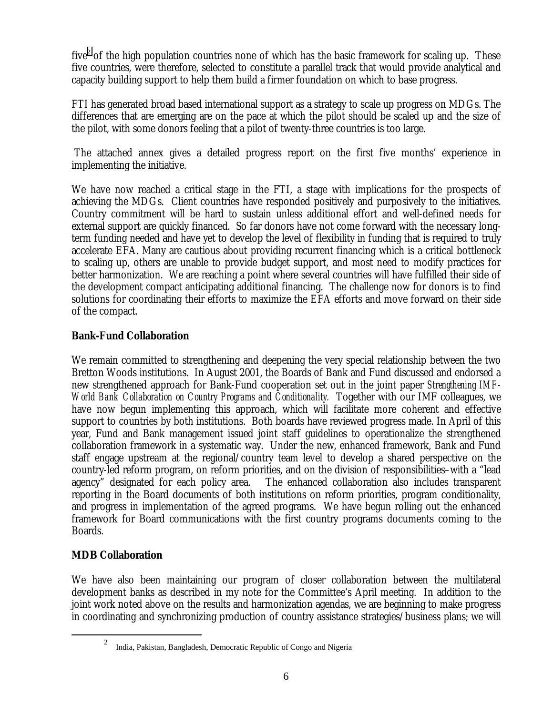five<sup>2</sup> of the high population countries none of which has the basic framework for scaling up. These five countries, were therefore, selected to constitute a parallel track that would provide analytical and capacity building support to help them build a firmer foundation on which to base progress.

FTI has generated broad based international support as a strategy to scale up progress on MDGs. The differences that are emerging are on the pace at which the pilot should be scaled up and the size of the pilot, with some donors feeling that a pilot of twenty-three countries is too large.

 The attached annex gives a detailed progress report on the first five months' experience in implementing the initiative.

We have now reached a critical stage in the FTI, a stage with implications for the prospects of achieving the MDGs. Client countries have responded positively and purposively to the initiatives. Country commitment will be hard to sustain unless additional effort and well-defined needs for external support are quickly financed. So far donors have not come forward with the necessary longterm funding needed and have yet to develop the level of flexibility in funding that is required to truly accelerate EFA. Many are cautious about providing recurrent financing which is a critical bottleneck to scaling up, others are unable to provide budget support, and most need to modify practices for better harmonization. We are reaching a point where several countries will have fulfilled their side of the development compact anticipating additional financing. The challenge now for donors is to find solutions for coordinating their efforts to maximize the EFA efforts and move forward on their side of the compact.

### **Bank-Fund Collaboration**

We remain committed to strengthening and deepening the very special relationship between the two Bretton Woods institutions. In August 2001, the Boards of Bank and Fund discussed and endorsed a new strengthened approach for Bank-Fund cooperation set out in the joint paper *Strengthening IMF-World Bank Collaboration on Country Programs and Conditionality.* Together with our IMF colleagues, we have now begun implementing this approach, which will facilitate more coherent and effective support to countries by both institutions. Both boards have reviewed progress made. In April of this year, Fund and Bank management issued joint staff guidelines to operationalize the strengthened collaboration framework in a systematic way. Under the new, enhanced framework, Bank and Fund staff engage upstream at the regional/country team level to develop a shared perspective on the country-led reform program, on reform priorities, and on the division of responsibilities–with a "lead agency" designated for each policy area. The enhanced collaboration also includes transparent reporting in the Board documents of both institutions on reform priorities, program conditionality, and progress in implementation of the agreed programs. We have begun rolling out the enhanced framework for Board communications with the first country programs documents coming to the Boards.

### **MDB Collaboration**

We have also been maintaining our program of closer collaboration between the multilateral development banks as described in my note for the Committee's April meeting. In addition to the joint work noted above on the results and harmonization agendas, we are beginning to make progress in coordinating and synchronizing production of country assistance strategies/business plans; we will

 $\frac{1}{2}$ <sup>2</sup> India, Pakistan, Bangladesh, Democratic Republic of Congo and Nigeria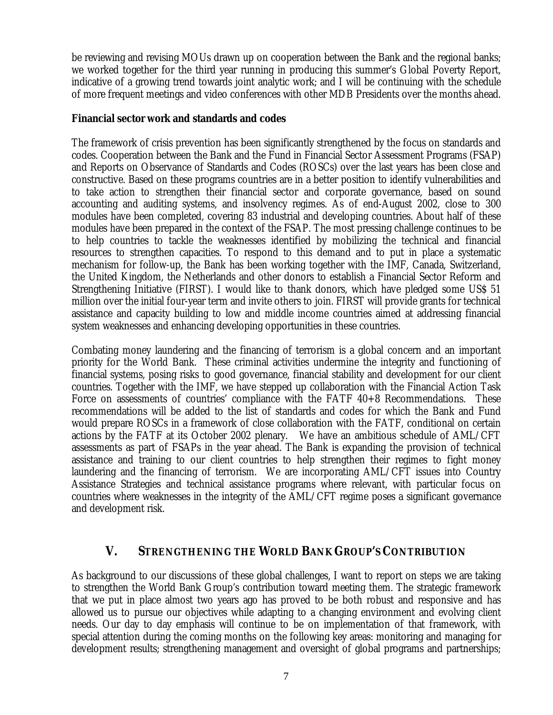be reviewing and revising MOUs drawn up on cooperation between the Bank and the regional banks; we worked together for the third year running in producing this summer's Global Poverty Report, indicative of a growing trend towards joint analytic work; and I will be continuing with the schedule of more frequent meetings and video conferences with other MDB Presidents over the months ahead.

#### **Financial sector work and standards and codes**

The framework of crisis prevention has been significantly strengthened by the focus on standards and codes. Cooperation between the Bank and the Fund in Financial Sector Assessment Programs (FSAP) and Reports on Observance of Standards and Codes (ROSCs) over the last years has been close and constructive. Based on these programs countries are in a better position to identify vulnerabilities and to take action to strengthen their financial sector and corporate governance, based on sound accounting and auditing systems, and insolvency regimes. As of end-August 2002, close to 300 modules have been completed, covering 83 industrial and developing countries. About half of these modules have been prepared in the context of the FSAP. The most pressing challenge continues to be to help countries to tackle the weaknesses identified by mobilizing the technical and financial resources to strengthen capacities. To respond to this demand and to put in place a systematic mechanism for follow-up, the Bank has been working together with the IMF, Canada, Switzerland, the United Kingdom, the Netherlands and other donors to establish a Financial Sector Reform and Strengthening Initiative (FIRST). I would like to thank donors, which have pledged some US\$ 51 million over the initial four-year term and invite others to join. FIRST will provide grants for technical assistance and capacity building to low and middle income countries aimed at addressing financial system weaknesses and enhancing developing opportunities in these countries.

Combating money laundering and the financing of terrorism is a global concern and an important priority for the World Bank. These criminal activities undermine the integrity and functioning of financial systems, posing risks to good governance, financial stability and development for our client countries. Together with the IMF, we have stepped up collaboration with the Financial Action Task Force on assessments of countries' compliance with the FATF 40+8 Recommendations. These recommendations will be added to the list of standards and codes for which the Bank and Fund would prepare ROSCs in a framework of close collaboration with the FATF, conditional on certain actions by the FATF at its October 2002 plenary. We have an ambitious schedule of AML/CFT assessments as part of FSAPs in the year ahead. The Bank is expanding the provision of technical assistance and training to our client countries to help strengthen their regimes to fight money laundering and the financing of terrorism. We are incorporating AML/CFT issues into Country Assistance Strategies and technical assistance programs where relevant, with particular focus on countries where weaknesses in the integrity of the AML/CFT regime poses a significant governance and development risk.

## **V. STRENGTHENING THE WORLD BANK GROUP'S CONTRIBUTION**

As background to our discussions of these global challenges, I want to report on steps we are taking to strengthen the World Bank Group's contribution toward meeting them. The strategic framework that we put in place almost two years ago has proved to be both robust and responsive and has allowed us to pursue our objectives while adapting to a changing environment and evolving client needs. Our day to day emphasis will continue to be on implementation of that framework, with special attention during the coming months on the following key areas: monitoring and managing for development results; strengthening management and oversight of global programs and partnerships;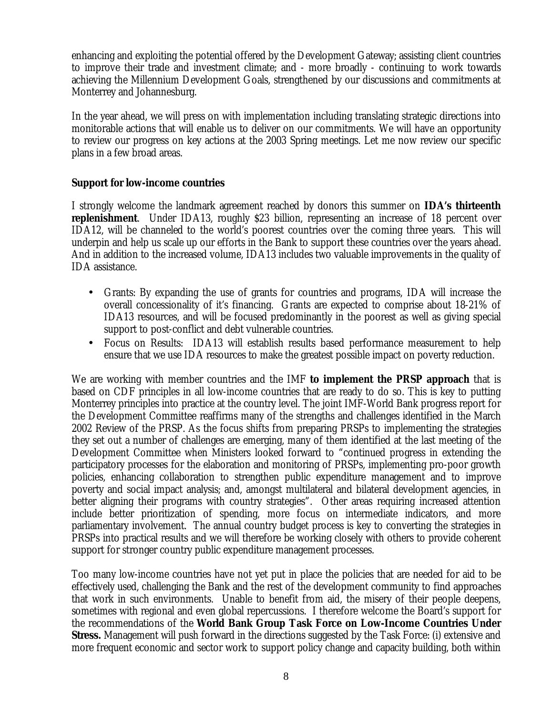enhancing and exploiting the potential offered by the Development Gateway; assisting client countries to improve their trade and investment climate; and - more broadly - continuing to work towards achieving the Millennium Development Goals, strengthened by our discussions and commitments at Monterrey and Johannesburg.

In the year ahead, we will press on with implementation including translating strategic directions into monitorable actions that will enable us to deliver on our commitments. We will have an opportunity to review our progress on key actions at the 2003 Spring meetings. Let me now review our specific plans in a few broad areas.

#### **Support for low-income countries**

I strongly welcome the landmark agreement reached by donors this summer on **IDA's thirteenth replenishment**. Under IDA13, roughly \$23 billion, representing an increase of 18 percent over IDA12, will be channeled to the world's poorest countries over the coming three years. This will underpin and help us scale up our efforts in the Bank to support these countries over the years ahead. And in addition to the increased volume, IDA13 includes two valuable improvements in the quality of IDA assistance.

- Grants: By expanding the use of grants for countries and programs, IDA will increase the overall concessionality of it's financing. Grants are expected to comprise about 18-21% of IDA13 resources, and will be focused predominantly in the poorest as well as giving special support to post-conflict and debt vulnerable countries.
- Focus on Results: IDA13 will establish results based performance measurement to help ensure that we use IDA resources to make the greatest possible impact on poverty reduction.

We are working with member countries and the IMF **to implement the PRSP approach** that is based on CDF principles in all low-income countries that are ready to do so. This is key to putting Monterrey principles into practice at the country level. The joint IMF-World Bank progress report for the Development Committee reaffirms many of the strengths and challenges identified in the March 2002 Review of the PRSP. As the focus shifts from preparing PRSPs to implementing the strategies they set out a number of challenges are emerging, many of them identified at the last meeting of the Development Committee when Ministers looked forward to "continued progress in extending the participatory processes for the elaboration and monitoring of PRSPs, implementing pro-poor growth policies, enhancing collaboration to strengthen public expenditure management and to improve poverty and social impact analysis; and, amongst multilateral and bilateral development agencies, in better aligning their programs with country strategies". Other areas requiring increased attention include better prioritization of spending, more focus on intermediate indicators, and more parliamentary involvement. The annual country budget process is key to converting the strategies in PRSPs into practical results and we will therefore be working closely with others to provide coherent support for stronger country public expenditure management processes.

Too many low-income countries have not yet put in place the policies that are needed for aid to be effectively used, challenging the Bank and the rest of the development community to find approaches that work in such environments. Unable to benefit from aid, the misery of their people deepens, sometimes with regional and even global repercussions. I therefore welcome the Board's support for the recommendations of the **World Bank Group Task Force on Low-Income Countries Under Stress.** Management will push forward in the directions suggested by the Task Force: (i) extensive and more frequent economic and sector work to support policy change and capacity building, both within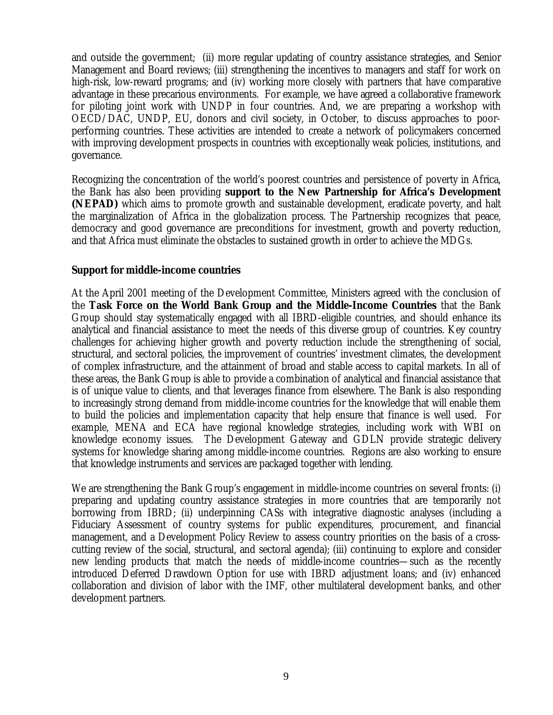and outside the government; (ii) more regular updating of country assistance strategies, and Senior Management and Board reviews; (iii) strengthening the incentives to managers and staff for work on high-risk, low-reward programs; and (iv) working more closely with partners that have comparative advantage in these precarious environments. For example, we have agreed a collaborative framework for piloting joint work with UNDP in four countries. And, we are preparing a workshop with OECD/DAC, UNDP, EU, donors and civil society, in October, to discuss approaches to poorperforming countries. These activities are intended to create a network of policymakers concerned with improving development prospects in countries with exceptionally weak policies, institutions, and governance.

Recognizing the concentration of the world's poorest countries and persistence of poverty in Africa, the Bank has also been providing **support to the New Partnership for Africa's Development (NEPAD)** which aims to promote growth and sustainable development, eradicate poverty, and halt the marginalization of Africa in the globalization process. The Partnership recognizes that peace, democracy and good governance are preconditions for investment, growth and poverty reduction, and that Africa must eliminate the obstacles to sustained growth in order to achieve the MDGs.

#### **Support for middle-income countries**

At the April 2001 meeting of the Development Committee, Ministers agreed with the conclusion of the **Task Force on the World Bank Group and the Middle-Income Countries** that the Bank Group should stay systematically engaged with all IBRD-eligible countries, and should enhance its analytical and financial assistance to meet the needs of this diverse group of countries. Key country challenges for achieving higher growth and poverty reduction include the strengthening of social, structural, and sectoral policies, the improvement of countries' investment climates, the development of complex infrastructure, and the attainment of broad and stable access to capital markets. In all of these areas, the Bank Group is able to provide a combination of analytical and financial assistance that is of unique value to clients, and that leverages finance from elsewhere. The Bank is also responding to increasingly strong demand from middle-income countries for the knowledge that will enable them to build the policies and implementation capacity that help ensure that finance is well used. For example, MENA and ECA have regional knowledge strategies, including work with WBI on knowledge economy issues. The Development Gateway and GDLN provide strategic delivery systems for knowledge sharing among middle-income countries. Regions are also working to ensure that knowledge instruments and services are packaged together with lending.

We are strengthening the Bank Group's engagement in middle-income countries on several fronts: (i) preparing and updating country assistance strategies in more countries that are temporarily not borrowing from IBRD; (ii) underpinning CASs with integrative diagnostic analyses (including a Fiduciary Assessment of country systems for public expenditures, procurement, and financial management, and a Development Policy Review to assess country priorities on the basis of a crosscutting review of the social, structural, and sectoral agenda); (iii) continuing to explore and consider new lending products that match the needs of middle-income countries—such as the recently introduced Deferred Drawdown Option for use with IBRD adjustment loans; and (iv) enhanced collaboration and division of labor with the IMF, other multilateral development banks, and other development partners.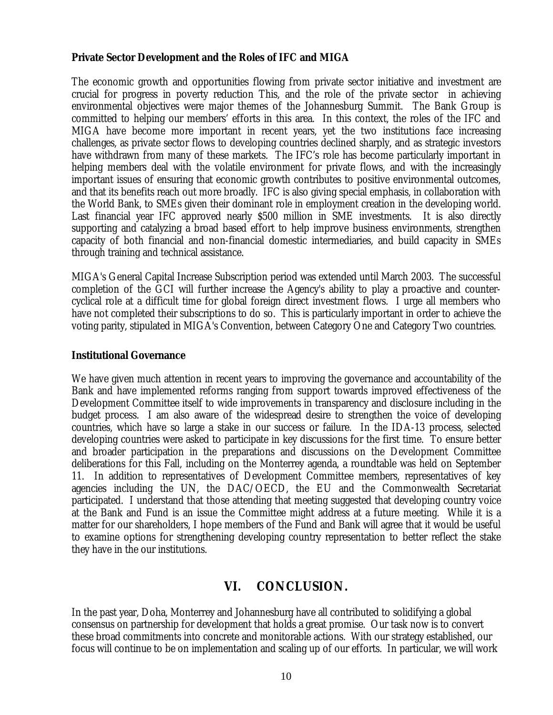#### **Private Sector Development and the Roles of IFC and MIGA**

The economic growth and opportunities flowing from private sector initiative and investment are crucial for progress in poverty reduction This, and the role of the private sector in achieving environmental objectives were major themes of the Johannesburg Summit. The Bank Group is committed to helping our members' efforts in this area. In this context, the roles of the IFC and MIGA have become more important in recent years, yet the two institutions face increasing challenges, as private sector flows to developing countries declined sharply, and as strategic investors have withdrawn from many of these markets. The IFC's role has become particularly important in helping members deal with the volatile environment for private flows, and with the increasingly important issues of ensuring that economic growth contributes to positive environmental outcomes, and that its benefits reach out more broadly. IFC is also giving special emphasis, in collaboration with the World Bank, to SMEs given their dominant role in employment creation in the developing world. Last financial year IFC approved nearly \$500 million in SME investments. It is also directly supporting and catalyzing a broad based effort to help improve business environments, strengthen capacity of both financial and non-financial domestic intermediaries, and build capacity in SMEs through training and technical assistance.

MIGA's General Capital Increase Subscription period was extended until March 2003. The successful completion of the GCI will further increase the Agency's ability to play a proactive and countercyclical role at a difficult time for global foreign direct investment flows. I urge all members who have not completed their subscriptions to do so. This is particularly important in order to achieve the voting parity, stipulated in MIGA's Convention, between Category One and Category Two countries.

#### **Institutional Governance**

We have given much attention in recent years to improving the governance and accountability of the Bank and have implemented reforms ranging from support towards improved effectiveness of the Development Committee itself to wide improvements in transparency and disclosure including in the budget process. I am also aware of the widespread desire to strengthen the voice of developing countries, which have so large a stake in our success or failure. In the IDA-13 process, selected developing countries were asked to participate in key discussions for the first time. To ensure better and broader participation in the preparations and discussions on the Development Committee deliberations for this Fall, including on the Monterrey agenda, a roundtable was held on September 11. In addition to representatives of Development Committee members, representatives of key agencies including the UN, the DAC/OECD, the EU and the Commonwealth Secretariat participated. I understand that those attending that meeting suggested that developing country voice at the Bank and Fund is an issue the Committee might address at a future meeting. While it is a matter for our shareholders, I hope members of the Fund and Bank will agree that it would be useful to examine options for strengthening developing country representation to better reflect the stake they have in the our institutions.

## **VI. CONCLUSION.**

In the past year, Doha, Monterrey and Johannesburg have all contributed to solidifying a global consensus on partnership for development that holds a great promise. Our task now is to convert these broad commitments into concrete and monitorable actions. With our strategy established, our focus will continue to be on implementation and scaling up of our efforts. In particular, we will work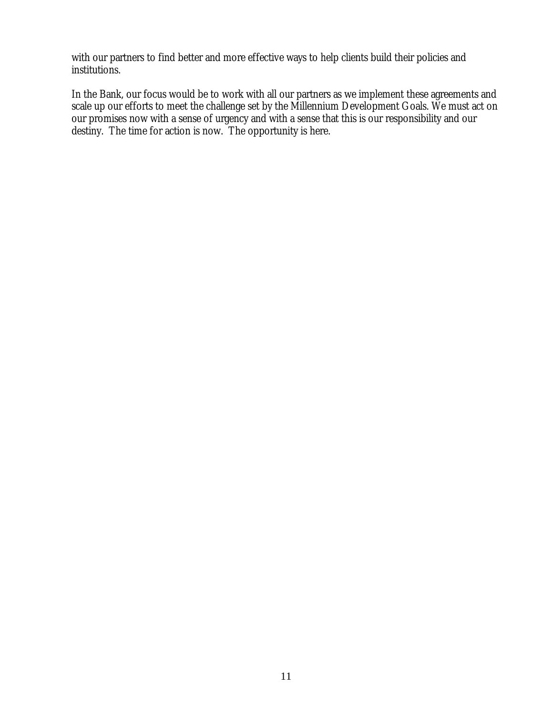with our partners to find better and more effective ways to help clients build their policies and institutions.

In the Bank, our focus would be to work with all our partners as we implement these agreements and scale up our efforts to meet the challenge set by the Millennium Development Goals. We must act on our promises now with a sense of urgency and with a sense that this is our responsibility and our destiny. The time for action is now. The opportunity is here.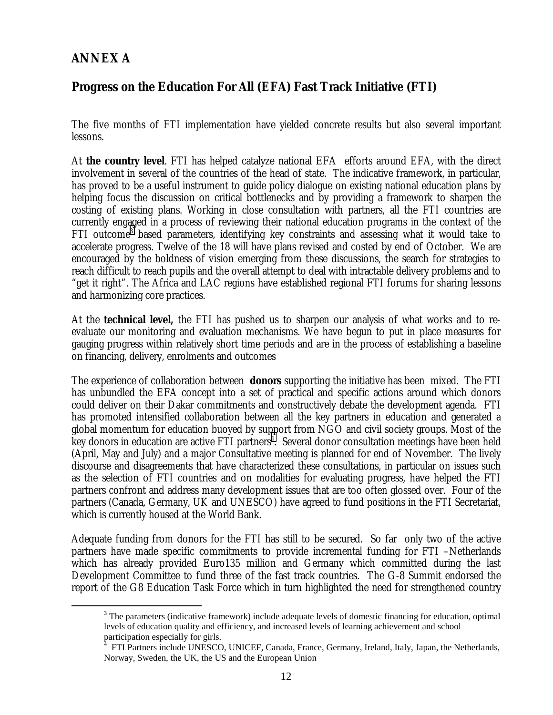# **ANNEX A**

# **Progress on the Education For All (EFA) Fast Track Initiative (FTI)**

The five months of FTI implementation have yielded concrete results but also several important lessons.

At **the country level**. FTI has helped catalyze national EFA efforts around EFA, with the direct involvement in several of the countries of the head of state. The indicative framework, in particular, has proved to be a useful instrument to guide policy dialogue on existing national education plans by helping focus the discussion on critical bottlenecks and by providing a framework to sharpen the costing of existing plans. Working in close consultation with partners, all the FTI countries are currently engaged in a process of reviewing their national education programs in the context of the FTI outcome<sup>3</sup> based parameters, identifying key constraints and assessing what it would take to accelerate progress. Twelve of the 18 will have plans revised and costed by end of October. We are encouraged by the boldness of vision emerging from these discussions, the search for strategies to reach difficult to reach pupils and the overall attempt to deal with intractable delivery problems and to "get it right". The Africa and LAC regions have established regional FTI forums for sharing lessons and harmonizing core practices.

At the **technical level,** the FTI has pushed us to sharpen our analysis of what works and to reevaluate our monitoring and evaluation mechanisms. We have begun to put in place measures for gauging progress within relatively short time periods and are in the process of establishing a baseline on financing, delivery, enrolments and outcomes

The experience of collaboration between **donors** supporting the initiative has been mixed. The FTI has unbundled the EFA concept into a set of practical and specific actions around which donors could deliver on their Dakar commitments and constructively debate the development agenda. FTI has promoted intensified collaboration between all the key partners in education and generated a global momentum for education buoyed by support from NGO and civil society groups. Most of the key donors in education are active FTI partners<sup>4</sup>. Several donor consultation meetings have been held (April, May and July) and a major Consultative meeting is planned for end of November. The lively discourse and disagreements that have characterized these consultations, in particular on issues such as the selection of FTI countries and on modalities for evaluating progress, have helped the FTI partners confront and address many development issues that are too often glossed over. Four of the partners (Canada, Germany, UK and UNESCO) have agreed to fund positions in the FTI Secretariat, which is currently housed at the World Bank.

Adequate funding from donors for the FTI has still to be secured. So far only two of the active partners have made specific commitments to provide incremental funding for FTI –Netherlands which has already provided Euro135 million and Germany which committed during the last Development Committee to fund three of the fast track countries. The G-8 Summit endorsed the report of the G8 Education Task Force which in turn highlighted the need for strengthened country

 <sup>3</sup> <sup>3</sup> The parameters (indicative framework) include adequate levels of domestic financing for education, optimal levels of education quality and efficiency, and increased levels of learning achievement and school participation especially for girls.

<sup>4</sup> FTI Partners include UNESCO, UNICEF, Canada, France, Germany, Ireland, Italy, Japan, the Netherlands, Norway, Sweden, the UK, the US and the European Union